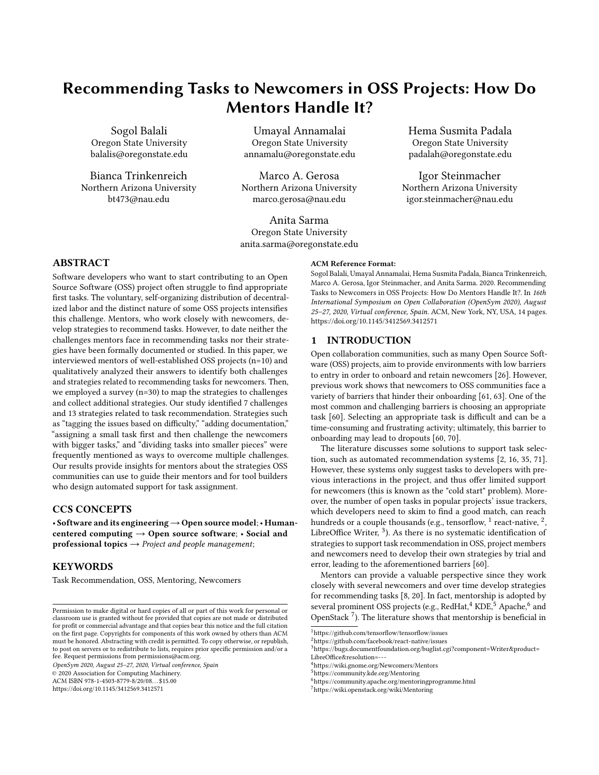# Recommending Tasks to Newcomers in OSS Projects: How Do Mentors Handle It?

Sogol Balali Oregon State University balalis@oregonstate.edu

Bianca Trinkenreich Northern Arizona University bt473@nau.edu

Umayal Annamalai Oregon State University annamalu@oregonstate.edu

Marco A. Gerosa Northern Arizona University marco.gerosa@nau.edu

Anita Sarma Oregon State University anita.sarma@oregonstate.edu Hema Susmita Padala Oregon State University padalah@oregonstate.edu

Igor Steinmacher Northern Arizona University igor.steinmacher@nau.edu

# ABSTRACT

Software developers who want to start contributing to an Open Source Software (OSS) project often struggle to find appropriate first tasks. The voluntary, self-organizing distribution of decentralized labor and the distinct nature of some OSS projects intensifies this challenge. Mentors, who work closely with newcomers, develop strategies to recommend tasks. However, to date neither the challenges mentors face in recommending tasks nor their strategies have been formally documented or studied. In this paper, we interviewed mentors of well-established OSS projects (n=10) and qualitatively analyzed their answers to identify both challenges and strategies related to recommending tasks for newcomers. Then, we employed a survey (n=30) to map the strategies to challenges and collect additional strategies. Our study identified 7 challenges and 13 strategies related to task recommendation. Strategies such as "tagging the issues based on difficulty," "adding documentation," "assigning a small task first and then challenge the newcomers with bigger tasks," and "dividing tasks into smaller pieces" were frequently mentioned as ways to overcome multiple challenges. Our results provide insights for mentors about the strategies OSS communities can use to guide their mentors and for tool builders who design automated support for task assignment.

# CCS CONCEPTS

• Software and its engineering  $\rightarrow$  Open source model; • Humancentered computing → Open source software; • Social and professional topics  $\rightarrow$  Project and people management;

# **KEYWORDS**

Task Recommendation, OSS, Mentoring, Newcomers

OpenSym 2020, August 25–27, 2020, Virtual conference, Spain

© 2020 Association for Computing Machinery.

ACM ISBN 978-1-4503-8779-8/20/08. . . \$15.00

<https://doi.org/10.1145/3412569.3412571>

#### ACM Reference Format:

Sogol Balali, Umayal Annamalai, Hema Susmita Padala, Bianca Trinkenreich, Marco A. Gerosa, Igor Steinmacher, and Anita Sarma. 2020. Recommending Tasks to Newcomers in OSS Projects: How Do Mentors Handle It?. In 16th International Symposium on Open Collaboration (OpenSym 2020), August 25–27, 2020, Virtual conference, Spain. ACM, New York, NY, USA, [14](#page-13-0) pages. <https://doi.org/10.1145/3412569.3412571>

# 1 INTRODUCTION

Open collaboration communities, such as many Open Source Software (OSS) projects, aim to provide environments with low barriers to entry in order to onboard and retain newcomers [\[26\]](#page-12-0). However, previous work shows that newcomers to OSS communities face a variety of barriers that hinder their onboarding [\[61,](#page-13-1) [63\]](#page-13-2). One of the most common and challenging barriers is choosing an appropriate task [\[60\]](#page-13-3). Selecting an appropriate task is difficult and can be a time-consuming and frustrating activity; ultimately, this barrier to onboarding may lead to dropouts [\[60,](#page-13-3) [70\]](#page-13-4).

The literature discusses some solutions to support task selection, such as automated recommendation systems [\[2,](#page-12-1) [16,](#page-12-2) [35,](#page-12-3) [71\]](#page-13-5). However, these systems only suggest tasks to developers with previous interactions in the project, and thus offer limited support for newcomers (this is known as the "cold start" problem). Moreover, the number of open tasks in popular projects' issue trackers, which developers need to skim to find a good match, can reach hundreds or a couple thousands (e.g., tensorflow,  $^1$  $^1$  react-native,  $^2$  $^2$ , LibreOffice Writer,  $3$ ). As there is no systematic identification of strategies to support task recommendation in OSS, project members and newcomers need to develop their own strategies by trial and error, leading to the aforementioned barriers [\[60\]](#page-13-3).

Mentors can provide a valuable perspective since they work closely with several newcomers and over time develop strategies for recommending tasks [\[8,](#page-12-4) [20\]](#page-12-5). In fact, mentorship is adopted by several prominent OSS projects (e.g., RedHat,  $^4$  $^4$  KDE,  $^5$  $^5$  Apache,  $^6$  $^6$  and OpenStack [7](#page-0-6) ). The literature shows that mentorship is beneficial in

Permission to make digital or hard copies of all or part of this work for personal or classroom use is granted without fee provided that copies are not made or distributed for profit or commercial advantage and that copies bear this notice and the full citation on the first page. Copyrights for components of this work owned by others than ACM must be honored. Abstracting with credit is permitted. To copy otherwise, or republish, to post on servers or to redistribute to lists, requires prior specific permission and/or a fee. Request permissions from permissions@acm.org.

<span id="page-0-0"></span><sup>1</sup><https://github.com/tensorflow/tensorflow/issues>

<span id="page-0-1"></span><sup>2</sup><https://github.com/facebook/react-native/issues>

<span id="page-0-2"></span> $^3$ [https://bugs.documentfoundation.org/buglist.cgi?component=Writer&product=](https://bugs.documentfoundation.org/buglist.cgi?component=Writer&product=LibreOffice&resolution=---) [LibreOffice&resolution=---](https://bugs.documentfoundation.org/buglist.cgi?component=Writer&product=LibreOffice&resolution=---)

<span id="page-0-3"></span> $^4$ <https://wiki.gnome.org/Newcomers/Mentors>

<span id="page-0-4"></span><sup>5</sup><https://community.kde.org/Mentoring>

<span id="page-0-5"></span><sup>6</sup><https://community.apache.org/mentoringprogramme.html>

<span id="page-0-6"></span><sup>7</sup><https://wiki.openstack.org/wiki/Mentoring>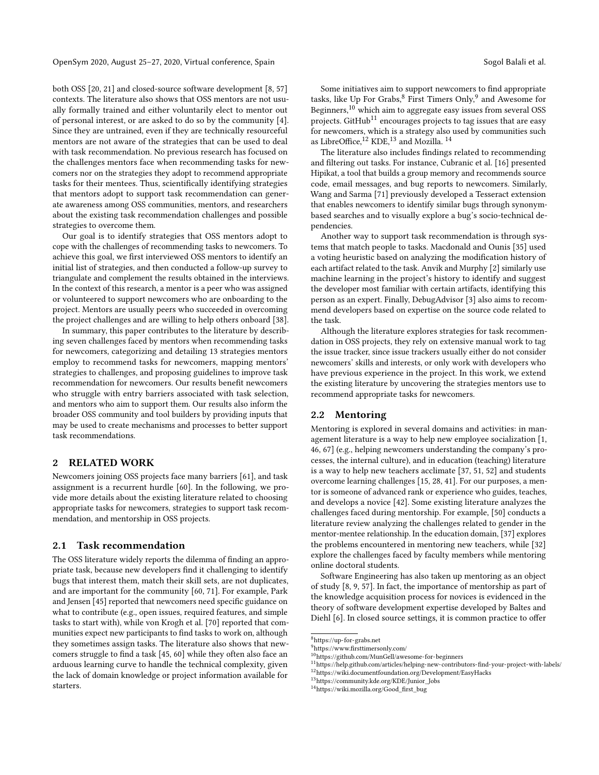both OSS [\[20,](#page-12-5) [21\]](#page-12-6) and closed-source software development [\[8,](#page-12-4) [57\]](#page-13-6) contexts. The literature also shows that OSS mentors are not usually formally trained and either voluntarily elect to mentor out of personal interest, or are asked to do so by the community [\[4\]](#page-12-7). Since they are untrained, even if they are technically resourceful mentors are not aware of the strategies that can be used to deal with task recommendation. No previous research has focused on the challenges mentors face when recommending tasks for newcomers nor on the strategies they adopt to recommend appropriate tasks for their mentees. Thus, scientifically identifying strategies that mentors adopt to support task recommendation can generate awareness among OSS communities, mentors, and researchers about the existing task recommendation challenges and possible strategies to overcome them.

Our goal is to identify strategies that OSS mentors adopt to cope with the challenges of recommending tasks to newcomers. To achieve this goal, we first interviewed OSS mentors to identify an initial list of strategies, and then conducted a follow-up survey to triangulate and complement the results obtained in the interviews. In the context of this research, a mentor is a peer who was assigned or volunteered to support newcomers who are onboarding to the project. Mentors are usually peers who succeeded in overcoming the project challenges and are willing to help others onboard [\[38\]](#page-12-8).

In summary, this paper contributes to the literature by describing seven challenges faced by mentors when recommending tasks for newcomers, categorizing and detailing 13 strategies mentors employ to recommend tasks for newcomers, mapping mentors' strategies to challenges, and proposing guidelines to improve task recommendation for newcomers. Our results benefit newcomers who struggle with entry barriers associated with task selection, and mentors who aim to support them. Our results also inform the broader OSS community and tool builders by providing inputs that may be used to create mechanisms and processes to better support task recommendations.

# 2 RELATED WORK

Newcomers joining OSS projects face many barriers [\[61\]](#page-13-1), and task assignment is a recurrent hurdle [\[60\]](#page-13-3). In the following, we provide more details about the existing literature related to choosing appropriate tasks for newcomers, strategies to support task recommendation, and mentorship in OSS projects.

#### 2.1 Task recommendation

The OSS literature widely reports the dilemma of finding an appropriate task, because new developers find it challenging to identify bugs that interest them, match their skill sets, are not duplicates, and are important for the community [\[60,](#page-13-3) [71\]](#page-13-5). For example, Park and Jensen [\[45\]](#page-12-9) reported that newcomers need specific guidance on what to contribute (e.g., open issues, required features, and simple tasks to start with), while von Krogh et al. [\[70\]](#page-13-4) reported that communities expect new participants to find tasks to work on, although they sometimes assign tasks. The literature also shows that newcomers struggle to find a task [\[45,](#page-12-9) [60\]](#page-13-3) while they often also face an arduous learning curve to handle the technical complexity, given the lack of domain knowledge or project information available for starters.

Some initiatives aim to support newcomers to find appropriate tasks, like Up For Grabs, <sup>[8](#page-1-0)</sup> First Timers Only,<sup>[9](#page-1-1)</sup> and Awesome for Beginners,[10](#page-1-2) which aim to aggregate easy issues from several OSS projects. GitHub<sup>[11](#page-1-3)</sup> encourages projects to tag issues that are easy for newcomers, which is a strategy also used by communities such as LibreOffice,<sup>[12](#page-1-4)</sup> KDE,<sup>[13](#page-1-5)</sup> and Mozilla.<sup>[14](#page-1-6)</sup>

The literature also includes findings related to recommending and filtering out tasks. For instance, Cubranic et al. [\[16\]](#page-12-2) presented Hipikat, a tool that builds a group memory and recommends source code, email messages, and bug reports to newcomers. Similarly, Wang and Sarma [\[71\]](#page-13-5) previously developed a Tesseract extension that enables newcomers to identify similar bugs through synonymbased searches and to visually explore a bug's socio-technical dependencies.

Another way to support task recommendation is through systems that match people to tasks. Macdonald and Ounis [\[35\]](#page-12-3) used a voting heuristic based on analyzing the modification history of each artifact related to the task. Anvik and Murphy [\[2\]](#page-12-1) similarly use machine learning in the project's history to identify and suggest the developer most familiar with certain artifacts, identifying this person as an expert. Finally, DebugAdvisor [\[3\]](#page-12-10) also aims to recommend developers based on expertise on the source code related to the task.

Although the literature explores strategies for task recommendation in OSS projects, they rely on extensive manual work to tag the issue tracker, since issue trackers usually either do not consider newcomers' skills and interests, or only work with developers who have previous experience in the project. In this work, we extend the existing literature by uncovering the strategies mentors use to recommend appropriate tasks for newcomers.

#### 2.2 Mentoring

Mentoring is explored in several domains and activities: in management literature is a way to help new employee socialization [\[1,](#page-12-11) [46,](#page-13-7) [67\]](#page-13-8) (e.g., helping newcomers understanding the company's processes, the internal culture), and in education (teaching) literature is a way to help new teachers acclimate [\[37,](#page-12-12) [51,](#page-13-9) [52\]](#page-13-10) and students overcome learning challenges [\[15,](#page-12-13) [28,](#page-12-14) [41\]](#page-12-15). For our purposes, a mentor is someone of advanced rank or experience who guides, teaches, and develops a novice [\[42\]](#page-12-16). Some existing literature analyzes the challenges faced during mentorship. For example, [\[50\]](#page-13-11) conducts a literature review analyzing the challenges related to gender in the mentor-mentee relationship. In the education domain, [\[37\]](#page-12-12) explores the problems encountered in mentoring new teachers, while [\[32\]](#page-12-17) explore the challenges faced by faculty members while mentoring online doctoral students.

Software Engineering has also taken up mentoring as an object of study [\[8,](#page-12-4) [9,](#page-12-18) [57\]](#page-13-6). In fact, the importance of mentorship as part of the knowledge acquisition process for novices is evidenced in the theory of software development expertise developed by Baltes and Diehl [\[6\]](#page-12-19). In closed source settings, it is common practice to offer

<span id="page-1-0"></span><sup>8</sup><https://up-for-grabs.net>

<span id="page-1-2"></span><span id="page-1-1"></span><sup>9</sup><https://www.firsttimersonly.com/>

<sup>10</sup><https://github.com/MunGell/awesome-for-beginners>

<span id="page-1-4"></span><span id="page-1-3"></span><sup>11</sup>[https://help.github.com/articles/helping-new-contributors-find-your-project-with-labels/](https://help.github.com/articles/helping-new-contributors-find- your-project-with-labels/) <sup>12</sup><https://wiki.documentfoundation.org/Development/EasyHacks>

<span id="page-1-5"></span><sup>13</sup>[https://community.kde.org/KDE/Junior\\_Jobs](https://community.kde.org/KDE/Junior_Jobs)

<span id="page-1-6"></span><sup>14</sup>[https://wiki.mozilla.org/Good\\_first\\_bug](https://wiki.mozilla.org/Good_first_bug)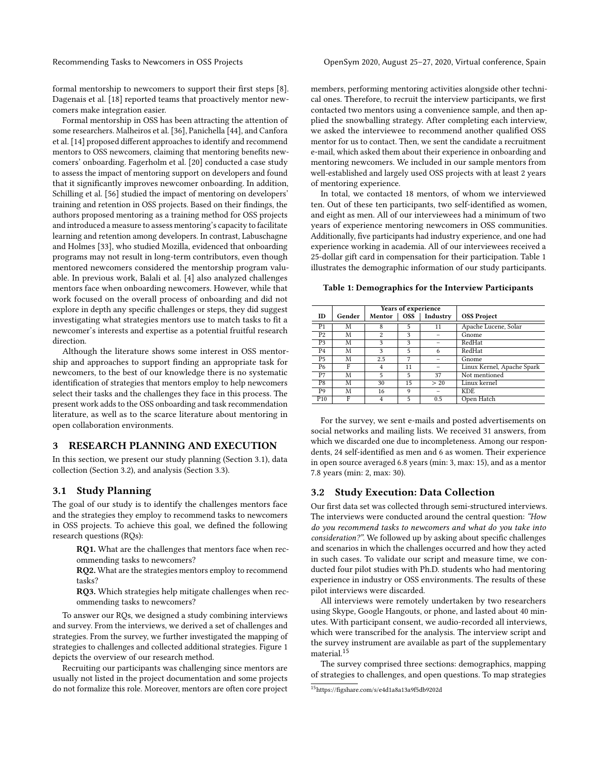formal mentorship to newcomers to support their first steps [\[8\]](#page-12-4). Dagenais et al. [\[18\]](#page-12-20) reported teams that proactively mentor newcomers make integration easier.

Formal mentorship in OSS has been attracting the attention of some researchers. Malheiros et al. [\[36\]](#page-12-21), Panichella [\[44\]](#page-12-22), and Canfora et al. [\[14\]](#page-12-23) proposed different approaches to identify and recommend mentors to OSS newcomers, claiming that mentoring benefits newcomers' onboarding. Fagerholm et al. [\[20\]](#page-12-5) conducted a case study to assess the impact of mentoring support on developers and found that it significantly improves newcomer onboarding. In addition, Schilling et al. [\[56\]](#page-13-12) studied the impact of mentoring on developers' training and retention in OSS projects. Based on their findings, the authors proposed mentoring as a training method for OSS projects and introduced a measure to assess mentoring's capacity to facilitate learning and retention among developers. In contrast, Labuschagne and Holmes [\[33\]](#page-12-24), who studied Mozilla, evidenced that onboarding programs may not result in long-term contributors, even though mentored newcomers considered the mentorship program valuable. In previous work, Balali et al. [\[4\]](#page-12-7) also analyzed challenges mentors face when onboarding newcomers. However, while that work focused on the overall process of onboarding and did not explore in depth any specific challenges or steps, they did suggest investigating what strategies mentors use to match tasks to fit a newcomer's interests and expertise as a potential fruitful research direction.

Although the literature shows some interest in OSS mentorship and approaches to support finding an appropriate task for newcomers, to the best of our knowledge there is no systematic identification of strategies that mentors employ to help newcomers select their tasks and the challenges they face in this process. The present work adds to the OSS onboarding and task recommendation literature, as well as to the scarce literature about mentoring in open collaboration environments.

# 3 RESEARCH PLANNING AND EXECUTION

In this section, we present our study planning (Section [3.1\)](#page-2-0), data collection (Section [3.2\)](#page-2-1), and analysis (Section [3.3\)](#page-3-0).

# <span id="page-2-0"></span>3.1 Study Planning

The goal of our study is to identify the challenges mentors face and the strategies they employ to recommend tasks to newcomers in OSS projects. To achieve this goal, we defined the following research questions (RQs):

RQ1. What are the challenges that mentors face when recommending tasks to newcomers?

RQ2. What are the strategies mentors employ to recommend tasks?

RQ3. Which strategies help mitigate challenges when recommending tasks to newcomers?

To answer our RQs, we designed a study combining interviews and survey. From the interviews, we derived a set of challenges and strategies. From the survey, we further investigated the mapping of strategies to challenges and collected additional strategies. Figure [1](#page-4-0) depicts the overview of our research method.

Recruiting our participants was challenging since mentors are usually not listed in the project documentation and some projects do not formalize this role. Moreover, mentors are often core project members, performing mentoring activities alongside other technical ones. Therefore, to recruit the interview participants, we first contacted two mentors using a convenience sample, and then applied the snowballing strategy. After completing each interview, we asked the interviewee to recommend another qualified OSS mentor for us to contact. Then, we sent the candidate a recruitment e-mail, which asked them about their experience in onboarding and mentoring newcomers. We included in our sample mentors from well-established and largely used OSS projects with at least 2 years of mentoring experience.

In total, we contacted 18 mentors, of whom we interviewed ten. Out of these ten participants, two self-identified as women, and eight as men. All of our interviewees had a minimum of two years of experience mentoring newcomers in OSS communities. Additionally, five participants had industry experience, and one had experience working in academia. All of our interviewees received a 25-dollar gift card in compensation for their participation. Table [1](#page-2-2) illustrates the demographic information of our study participants.

<span id="page-2-2"></span>Table 1: Demographics for the Interview Participants

|                |        | Years of experience |            |          |                            |
|----------------|--------|---------------------|------------|----------|----------------------------|
| ID             | Gender | Mentor              | <b>OSS</b> | Industry | <b>OSS Project</b>         |
| P <sub>1</sub> | M      | 8                   | 5          | 11       | Apache Lucene, Solar       |
| P <sub>2</sub> | M      | 2                   | 3          |          | Gnome                      |
| P3             | M      | 3                   | 3          |          | RedHat                     |
| P <sub>4</sub> | М      | 3                   | 5          | 6        | RedHat                     |
| P5             | M      | 2.5                 | 7          |          | Gnome                      |
| P6             | F      | $\overline{4}$      | 11         |          | Linux Kernel, Apache Spark |
| P7             | М      | 5                   | 5          | 37       | Not mentioned              |
| P8             | М      | 30                  | 15         | > 20     | Linux kernel               |
| P9             | M      | 16                  | 9          |          | KDE.                       |
| P10            | F      | 4                   | 5          | 0.5      | Open Hatch                 |

For the survey, we sent e-mails and posted advertisements on social networks and mailing lists. We received 31 answers, from which we discarded one due to incompleteness. Among our respondents, 24 self-identified as men and 6 as women. Their experience in open source averaged 6.8 years (min: 3, max: 15), and as a mentor 7.8 years (min: 2, max: 30).

#### <span id="page-2-1"></span>3.2 Study Execution: Data Collection

Our first data set was collected through semi-structured interviews. The interviews were conducted around the central question: "How do you recommend tasks to newcomers and what do you take into consideration?". We followed up by asking about specific challenges and scenarios in which the challenges occurred and how they acted in such cases. To validate our script and measure time, we conducted four pilot studies with Ph.D. students who had mentoring experience in industry or OSS environments. The results of these pilot interviews were discarded.

All interviews were remotely undertaken by two researchers using Skype, Google Hangouts, or phone, and lasted about 40 minutes. With participant consent, we audio-recorded all interviews, which were transcribed for the analysis. The interview script and the survey instrument are available as part of the supplementary material.<sup>[15](#page-2-3)</sup>

The survey comprised three sections: demographics, mapping of strategies to challenges, and open questions. To map strategies

<span id="page-2-3"></span><sup>15</sup><https://figshare.com/s/e4d1a8a13a9f5db9202d>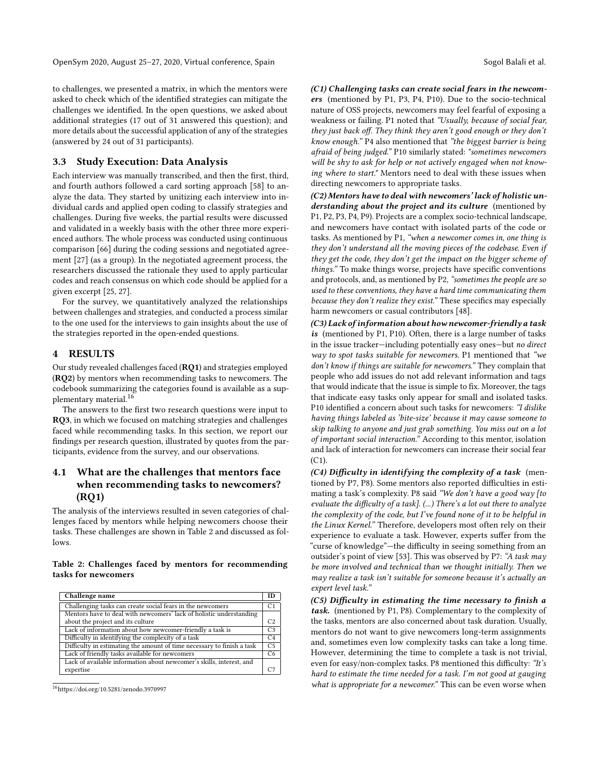to challenges, we presented a matrix, in which the mentors were asked to check which of the identified strategies can mitigate the challenges we identified. In the open questions, we asked about additional strategies (17 out of 31 answered this question); and more details about the successful application of any of the strategies (answered by 24 out of 31 participants).

### <span id="page-3-0"></span>3.3 Study Execution: Data Analysis

Each interview was manually transcribed, and then the first, third, and fourth authors followed a card sorting approach [\[58\]](#page-13-13) to analyze the data. They started by unitizing each interview into individual cards and applied open coding to classify strategies and challenges. During five weeks, the partial results were discussed and validated in a weekly basis with the other three more experienced authors. The whole process was conducted using continuous comparison [\[66\]](#page-13-14) during the coding sessions and negotiated agreement [\[27\]](#page-12-25) (as a group). In the negotiated agreement process, the researchers discussed the rationale they used to apply particular codes and reach consensus on which code should be applied for a given excerpt [\[25,](#page-12-26) [27\]](#page-12-25).

For the survey, we quantitatively analyzed the relationships between challenges and strategies, and conducted a process similar to the one used for the interviews to gain insights about the use of the strategies reported in the open-ended questions.

# 4 RESULTS

Our study revealed challenges faced (RQ1) and strategies employed (RQ2) by mentors when recommending tasks to newcomers. The codebook summarizing the categories found is available as a sup-plementary material.<sup>[16](#page-3-1)</sup>

The answers to the first two research questions were input to RQ3, in which we focused on matching strategies and challenges faced while recommending tasks. In this section, we report our findings per research question, illustrated by quotes from the participants, evidence from the survey, and our observations.

# 4.1 What are the challenges that mentors face when recommending tasks to newcomers? (RQ1)

The analysis of the interviews resulted in seven categories of challenges faced by mentors while helping newcomers choose their tasks. These challenges are shown in Table 2 and discussed as follows.

#### Table 2: Challenges faced by mentors for recommending tasks for newcomers

| Challenge name                                                         | m              |
|------------------------------------------------------------------------|----------------|
| Challenging tasks can create social fears in the newcomers             | C <sub>1</sub> |
| Mentors have to deal with newcomers' lack of holistic understanding    |                |
| about the project and its culture                                      | C2             |
| Lack of information about how newcomer-friendly a task is              | C <sub>3</sub> |
| Difficulty in identifying the complexity of a task                     | C <sub>4</sub> |
| Difficulty in estimating the amount of time necessary to finish a task | C <sub>5</sub> |
| Lack of friendly tasks available for newcomers                         | C6             |
| Lack of available information about newcomer's skills, interest, and   |                |
| expertise                                                              |                |

<span id="page-3-1"></span><sup>16</sup><https://doi.org/10.5281/zenodo.3970997>

(C1) Challenging tasks can create social fears in the newcomers (mentioned by P1, P3, P4, P10). Due to the socio-technical nature of OSS projects, newcomers may feel fearful of exposing a weakness or failing. P1 noted that "Usually, because of social fear, they just back off. They think they aren't good enough or they don't know enough." P4 also mentioned that "the biggest barrier is being afraid of being judged." P10 similarly stated: "sometimes newcomers will be shy to ask for help or not actively engaged when not knowing where to start." Mentors need to deal with these issues when directing newcomers to appropriate tasks.

(C2) Mentors have to deal with newcomers' lack of holistic understanding about the project and its culture (mentioned by P1, P2, P3, P4, P9). Projects are a complex socio-technical landscape, and newcomers have contact with isolated parts of the code or tasks. As mentioned by P1, "when a newcomer comes in, one thing is they don't understand all the moving pieces of the codebase. Even if they get the code, they don't get the impact on the bigger scheme of things." To make things worse, projects have specific conventions and protocols, and, as mentioned by P2, "sometimes the people are so used to these conventions, they have a hard time communicating them because they don't realize they exist." These specifics may especially harm newcomers or casual contributors [\[48\]](#page-13-15).

(C3) Lack of information about how newcomer-friendly a task is (mentioned by P1, P10). Often, there is a large number of tasks in the issue tracker—including potentially easy ones—but no direct way to spot tasks suitable for newcomers. P1 mentioned that "we don't know if things are suitable for newcomers." They complain that people who add issues do not add relevant information and tags that would indicate that the issue is simple to fix. Moreover, the tags that indicate easy tasks only appear for small and isolated tasks. P10 identified a concern about such tasks for newcomers: "I dislike having things labeled as 'bite-size' because it may cause someone to skip talking to anyone and just grab something. You miss out on a lot of important social interaction." According to this mentor, isolation and lack of interaction for newcomers can increase their social fear  $(C1)$ .

(C4) Difficulty in identifying the complexity of a task (mentioned by P7, P8). Some mentors also reported difficulties in estimating a task's complexity. P8 said "We don't have a good way [to evaluate the difficulty of a task]. (...) There's a lot out there to analyze the complexity of the code, but I've found none of it to be helpful in the Linux Kernel." Therefore, developers most often rely on their experience to evaluate a task. However, experts suffer from the "curse of knowledge"—the difficulty in seeing something from an outsider's point of view [\[53\]](#page-13-16). This was observed by P7: "A task may be more involved and technical than we thought initially. Then we may realize a task isn't suitable for someone because it's actually an expert level task."

(C5) Difficulty in estimating the time necessary to finish a task. (mentioned by P1, P8). Complementary to the complexity of the tasks, mentors are also concerned about task duration. Usually, mentors do not want to give newcomers long-term assignments and, sometimes even low complexity tasks can take a long time. However, determining the time to complete a task is not trivial, even for easy/non-complex tasks. P8 mentioned this difficulty: "It's hard to estimate the time needed for a task. I'm not good at gauging what is appropriate for a newcomer." This can be even worse when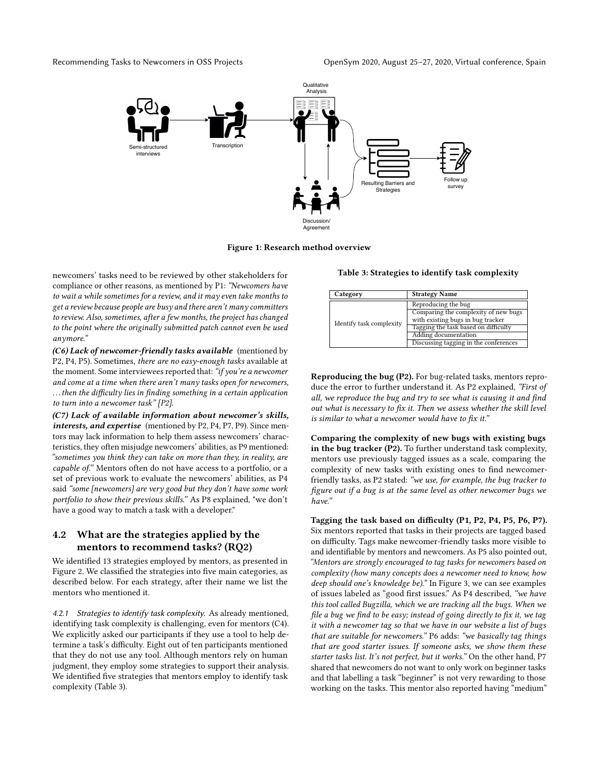<span id="page-4-0"></span>



Figure 1: Research method overview

newcomers' tasks need to be reviewed by other stakeholders for compliance or other reasons, as mentioned by P1: "Newcomers have to wait a while sometimes for a review, and it may even take months to get a review because people are busy and there aren't many committers to review. Also, sometimes, after a few months, the project has changed to the point where the originally submitted patch cannot even be used anymore."

(C6) Lack of newcomer-friendly tasks available (mentioned by P2, P4, P5). Sometimes, there are no easy-enough tasks available at the moment. Some interviewees reported that: "if you're a newcomer and come at a time when there aren't many tasks open for newcomers, . . . then the difficulty lies in finding something in a certain application to turn into a newcomer task" [P2].

(C7) Lack of available information about newcomer's skills, interests, and expertise (mentioned by P2, P4, P7, P9). Since mentors may lack information to help them assess newcomers' characteristics, they often misjudge newcomers' abilities, as P9 mentioned: "sometimes you think they can take on more than they, in reality, are capable of." Mentors often do not have access to a portfolio, or a set of previous work to evaluate the newcomers' abilities, as P4 said "some [newcomers] are very good but they don't have some work portfolio to show their previous skills." As P8 explained, "we don't have a good way to match a task with a developer."

# 4.2 What are the strategies applied by the mentors to recommend tasks? (RQ2)

We identified 13 strategies employed by mentors, as presented in Figure [2.](#page-5-0) We classified the strategies into five main categories, as described below. For each strategy, after their name we list the mentors who mentioned it.

<span id="page-4-2"></span>4.2.1 Strategies to identify task complexity. As already mentioned, identifying task complexity is challenging, even for mentors (C4). We explicitly asked our participants if they use a tool to help determine a task's difficulty. Eight out of ten participants mentioned that they do not use any tool. Although mentors rely on human judgment, they employ some strategies to support their analysis. We identified five strategies that mentors employ to identify task complexity (Table [3\)](#page-4-1).

<span id="page-4-1"></span>Table 3: Strategies to identify task complexity

| Category                 | <b>Strategy Name</b>                                                      |  |  |  |  |
|--------------------------|---------------------------------------------------------------------------|--|--|--|--|
|                          | Reproducing the bug                                                       |  |  |  |  |
|                          | Comparing the complexity of new bugs<br>with existing bugs in bug tracker |  |  |  |  |
| Identify task complexity | Tagging the task based on difficulty                                      |  |  |  |  |
|                          | <b>Adding documentation</b>                                               |  |  |  |  |
|                          | Discussing tagging in the conferences                                     |  |  |  |  |

Reproducing the bug (P2). For bug-related tasks, mentors reproduce the error to further understand it. As P2 explained, "First of all, we reproduce the bug and try to see what is causing it and find out what is necessary to fix it. Then we assess whether the skill level is similar to what a newcomer would have to fix it."

Comparing the complexity of new bugs with existing bugs in the bug tracker (P2). To further understand task complexity, mentors use previously tagged issues as a scale, comparing the complexity of new tasks with existing ones to find newcomerfriendly tasks, as P2 stated: "we use, for example, the bug tracker to figure out if a bug is at the same level as other newcomer bugs we have."

Tagging the task based on difficulty (P1, P2, P4, P5, P6, P7). Six mentors reported that tasks in their projects are tagged based on difficulty. Tags make newcomer-friendly tasks more visible to and identifiable by mentors and newcomers. As P5 also pointed out, "Mentors are strongly encouraged to tag tasks for newcomers based on complexity (how many concepts does a newcomer need to know, how deep should one's knowledge be)." In Figure [3,](#page-6-0) we can see examples of issues labeled as "good first issues." As P4 described, "we have this tool called Bugzilla, which we are tracking all the bugs. When we file a bug we find to be easy; instead of going directly to fix it, we tag it with a newcomer tag so that we have in our website a list of bugs that are suitable for newcomers." P6 adds: "we basically tag things that are good starter issues. If someone asks, we show them these starter tasks list. It's not perfect, but it works." On the other hand, P7 shared that newcomers do not want to only work on beginner tasks and that labelling a task "beginner" is not very rewarding to those working on the tasks. This mentor also reported having "medium"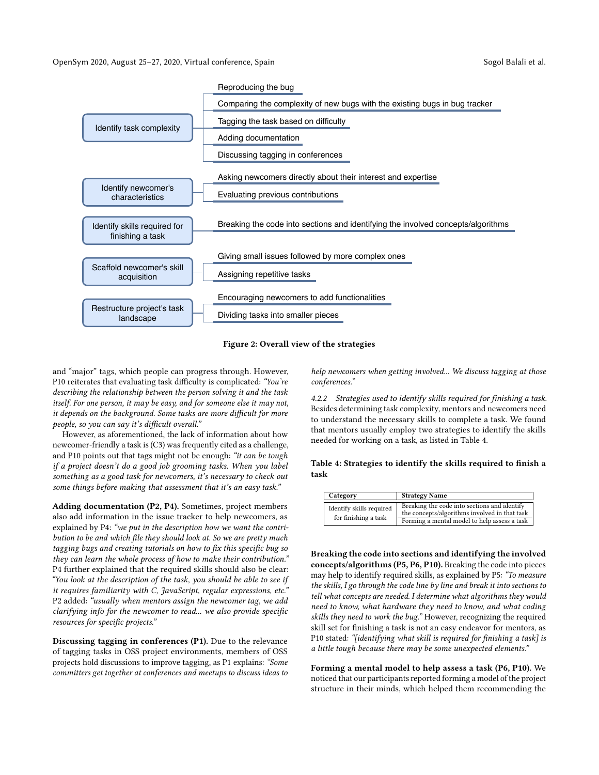<span id="page-5-0"></span>



and "major" tags, which people can progress through. However, P10 reiterates that evaluating task difficulty is complicated: "You're describing the relationship between the person solving it and the task itself. For one person, it may be easy, and for someone else it may not, it depends on the background. Some tasks are more difficult for more people, so you can say it's difficult overall."

However, as aforementioned, the lack of information about how newcomer-friendly a task is (C3) was frequently cited as a challenge, and P10 points out that tags might not be enough: "it can be tough if a project doesn't do a good job grooming tasks. When you label something as a good task for newcomers, it's necessary to check out some things before making that assessment that it's an easy task."

Adding documentation (P2, P4). Sometimes, project members also add information in the issue tracker to help newcomers, as explained by P4: "we put in the description how we want the contribution to be and which file they should look at. So we are pretty much tagging bugs and creating tutorials on how to fix this specific bug so they can learn the whole process of how to make their contribution." P4 further explained that the required skills should also be clear: "You look at the description of the task, you should be able to see if it requires familiarity with C, JavaScript, regular expressions, etc." P2 added: "usually when mentors assign the newcomer tag, we add clarifying info for the newcomer to read... we also provide specific resources for specific projects."

Discussing tagging in conferences (P1). Due to the relevance of tagging tasks in OSS project environments, members of OSS projects hold discussions to improve tagging, as P1 explains: "Some committers get together at conferences and meetups to discuss ideas to

help newcomers when getting involved... We discuss tagging at those conferences."

4.2.2 Strategies used to identify skills required for finishing a task. Besides determining task complexity, mentors and newcomers need to understand the necessary skills to complete a task. We found that mentors usually employ two strategies to identify the skills needed for working on a task, as listed in Table [4.](#page-5-1)

#### <span id="page-5-1"></span>Table 4: Strategies to identify the skills required to finish a task

| Category                                         | <b>Strategy Name</b>                                                                                                                          |  |  |  |  |
|--------------------------------------------------|-----------------------------------------------------------------------------------------------------------------------------------------------|--|--|--|--|
| Identify skills required<br>for finishing a task | Breaking the code into sections and identify<br>the concepts/algorithms involved in that task<br>Forming a mental model to help assess a task |  |  |  |  |

Breaking the code into sections and identifying the involved concepts/algorithms (P5, P6, P10). Breaking the code into pieces may help to identify required skills, as explained by P5: "To measure the skills, I go through the code line by line and break it into sections to tell what concepts are needed. I determine what algorithms they would need to know, what hardware they need to know, and what coding skills they need to work the bug." However, recognizing the required skill set for finishing a task is not an easy endeavor for mentors, as P10 stated: "[identifying what skill is required for finishing a task] is a little tough because there may be some unexpected elements."

Forming a mental model to help assess a task (P6, P10). We noticed that our participants reported forming a model of the project structure in their minds, which helped them recommending the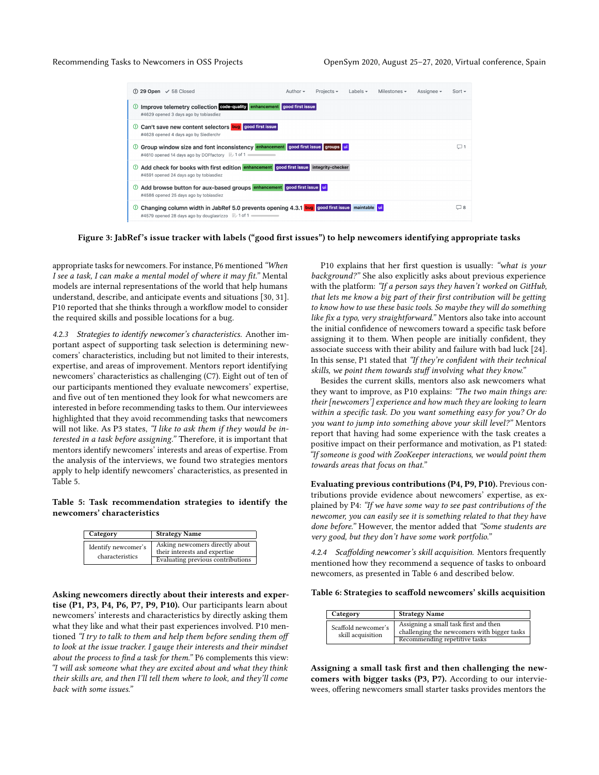<span id="page-6-0"></span>

Figure 3: JabRef's issue tracker with labels ("good first issues") to help newcomers identifying appropriate tasks

appropriate tasks for newcomers. For instance, P6 mentioned "When I see a task, I can make a mental model of where it may fit." Mental models are internal representations of the world that help humans understand, describe, and anticipate events and situations [\[30,](#page-12-27) [31\]](#page-12-28). P10 reported that she thinks through a workflow model to consider the required skills and possible locations for a bug.

4.2.3 Strategies to identify newcomer's characteristics. Another important aspect of supporting task selection is determining newcomers' characteristics, including but not limited to their interests, expertise, and areas of improvement. Mentors report identifying newcomers' characteristics as challenging (C7). Eight out of ten of our participants mentioned they evaluate newcomers' expertise, and five out of ten mentioned they look for what newcomers are interested in before recommending tasks to them. Our interviewees highlighted that they avoid recommending tasks that newcomers will not like. As P3 states, "I like to ask them if they would be interested in a task before assigning." Therefore, it is important that mentors identify newcomers' interests and areas of expertise. From the analysis of the interviews, we found two strategies mentors apply to help identify newcomers' characteristics, as presented in Table [5.](#page-6-1)

#### <span id="page-6-1"></span>Table 5: Task recommendation strategies to identify the newcomers' characteristics

| Category                               | <b>Strategy Name</b>                                                                                  |  |  |  |
|----------------------------------------|-------------------------------------------------------------------------------------------------------|--|--|--|
| Identify newcomer's<br>characteristics | Asking newcomers directly about<br>their interests and expertise<br>Evaluating previous contributions |  |  |  |

Asking newcomers directly about their interests and expertise (P1, P3, P4, P6, P7, P9, P10). Our participants learn about newcomers' interests and characteristics by directly asking them what they like and what their past experiences involved. P10 mentioned "I try to talk to them and help them before sending them off to look at the issue tracker. I gauge their interests and their mindset about the process to find a task for them." P6 complements this view: "I will ask someone what they are excited about and what they think their skills are, and then I'll tell them where to look, and they'll come back with some issues."

P10 explains that her first question is usually: "what is your background?" She also explicitly asks about previous experience with the platform: "If a person says they haven't worked on GitHub, that lets me know a big part of their first contribution will be getting to know how to use these basic tools. So maybe they will do something like fix a typo, very straightforward." Mentors also take into account the initial confidence of newcomers toward a specific task before assigning it to them. When people are initially confident, they associate success with their ability and failure with bad luck [\[24\]](#page-12-29). In this sense, P1 stated that "If they're confident with their technical skills, we point them towards stuff involving what they know."

Besides the current skills, mentors also ask newcomers what they want to improve, as P10 explains: "The two main things are: their [newcomers'] experience and how much they are looking to learn within a specific task. Do you want something easy for you? Or do you want to jump into something above your skill level?" Mentors report that having had some experience with the task creates a positive impact on their performance and motivation, as P1 stated: "If someone is good with ZooKeeper interactions, we would point them towards areas that focus on that."

Evaluating previous contributions (P4, P9, P10). Previous contributions provide evidence about newcomers' expertise, as explained by P4: "If we have some way to see past contributions of the newcomer, you can easily see it is something related to that they have done before." However, the mentor added that "Some students are very good, but they don't have some work portfolio."

4.2.4 Scaffolding newcomer's skill acquisition. Mentors frequently mentioned how they recommend a sequence of tasks to onboard newcomers, as presented in Table [6](#page-6-2) and described below.

<span id="page-6-2"></span>Table 6: Strategies to scaffold newcomers' skills acquisition

| Category                                 | <b>Strategy Name</b>                                                                                                  |  |  |  |
|------------------------------------------|-----------------------------------------------------------------------------------------------------------------------|--|--|--|
| Scaffold newcomer's<br>skill acquisition | Assigning a small task first and then<br>challenging the newcomers with bigger tasks<br>Recommending repetitive tasks |  |  |  |

Assigning a small task first and then challenging the newcomers with bigger tasks (P3, P7). According to our interviewees, offering newcomers small starter tasks provides mentors the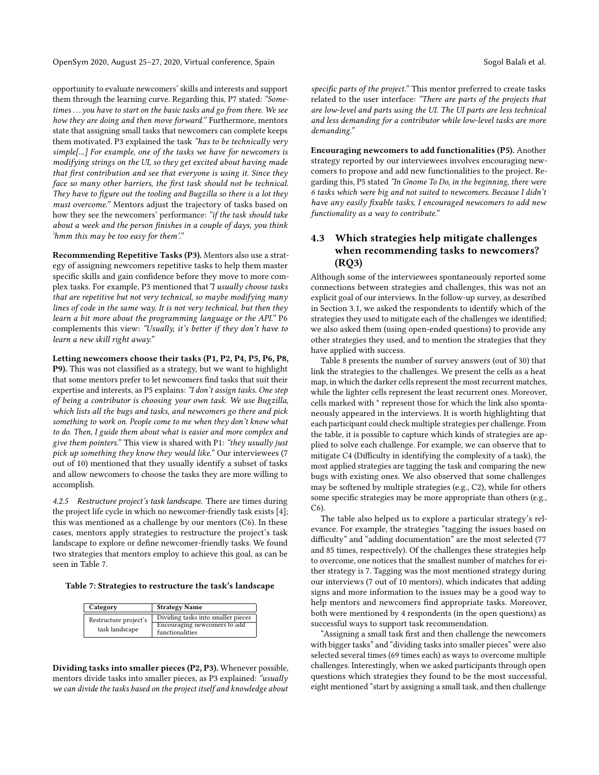opportunity to evaluate newcomers' skills and interests and support them through the learning curve. Regarding this, P7 stated: "Sometimes ... you have to start on the basic tasks and go from there. We see how they are doing and then move forward." Furthermore, mentors state that assigning small tasks that newcomers can complete keeps them motivated. P3 explained the task "has to be technically very simple[...] For example, one of the tasks we have for newcomers is modifying strings on the UI, so they get excited about having made that first contribution and see that everyone is using it. Since they face so many other barriers, the first task should not be technical. They have to figure out the tooling and Bugzilla so there is a lot they must overcome." Mentors adjust the trajectory of tasks based on how they see the newcomers' performance: "if the task should take about a week and the person finishes in a couple of days, you think 'hmm this may be too easy for them'."

Recommending Repetitive Tasks (P3). Mentors also use a strategy of assigning newcomers repetitive tasks to help them master specific skills and gain confidence before they move to more complex tasks. For example, P3 mentioned that"I usually choose tasks that are repetitive but not very technical, so maybe modifying many lines of code in the same way. It is not very technical, but then they learn a bit more about the programming language or the API." P6 complements this view: "Usually, it's better if they don't have to learn a new skill right away."

Letting newcomers choose their tasks (P1, P2, P4, P5, P6, P8, P9). This was not classified as a strategy, but we want to highlight that some mentors prefer to let newcomers find tasks that suit their expertise and interests, as P5 explains: "I don't assign tasks. One step of being a contributor is choosing your own task. We use Bugzilla, which lists all the bugs and tasks, and newcomers go there and pick something to work on. People come to me when they don't know what to do. Then, I guide them about what is easier and more complex and give them pointers." This view is shared with P1: "they usually just pick up something they know they would like." Our interviewees (7 out of 10) mentioned that they usually identify a subset of tasks and allow newcomers to choose the tasks they are more willing to accomplish.

4.2.5 Restructure project's task landscape. There are times during the project life cycle in which no newcomer-friendly task exists [\[4\]](#page-12-7); this was mentioned as a challenge by our mentors (C6). In these cases, mentors apply strategies to restructure the project's task landscape to explore or define newcomer-friendly tasks. We found two strategies that mentors employ to achieve this goal, as can be seen in Table [7.](#page-7-0)

#### <span id="page-7-0"></span>Table 7: Strategies to restructure the task's landscape

| Category                                | <b>Strategy Name</b>                                                                  |  |  |  |
|-----------------------------------------|---------------------------------------------------------------------------------------|--|--|--|
| Restructure project's<br>task landscape | Dividing tasks into smaller pieces<br>Encouraging newcomers to add<br>functionalities |  |  |  |

Dividing tasks into smaller pieces (P2, P3). Whenever possible, mentors divide tasks into smaller pieces, as P3 explained: "usually we can divide the tasks based on the project itself and knowledge about

specific parts of the project." This mentor preferred to create tasks related to the user interface: "There are parts of the projects that are low-level and parts using the UI. The UI parts are less technical and less demanding for a contributor while low-level tasks are more demanding."

Encouraging newcomers to add functionalities (P5). Another strategy reported by our interviewees involves encouraging newcomers to propose and add new functionalities to the project. Regarding this, P5 stated "In Gnome To Do, in the beginning, there were 6 tasks which were big and not suited to newcomers. Because I didn't have any easily fixable tasks, I encouraged newcomers to add new functionality as a way to contribute."

# 4.3 Which strategies help mitigate challenges when recommending tasks to newcomers? (RQ3)

Although some of the interviewees spontaneously reported some connections between strategies and challenges, this was not an explicit goal of our interviews. In the follow-up survey, as described in Section [3.1,](#page-2-0) we asked the respondents to identify which of the strategies they used to mitigate each of the challenges we identified; we also asked them (using open-ended questions) to provide any other strategies they used, and to mention the strategies that they have applied with success.

Table [8](#page-8-0) presents the number of survey answers (out of 30) that link the strategies to the challenges. We present the cells as a heat map, in which the darker cells represent the most recurrent matches, while the lighter cells represent the least recurrent ones. Moreover, cells marked with \* represent those for which the link also spontaneously appeared in the interviews. It is worth highlighting that each participant could check multiple strategies per challenge. From the table, it is possible to capture which kinds of strategies are applied to solve each challenge. For example, we can observe that to mitigate C4 (Difficulty in identifying the complexity of a task), the most applied strategies are tagging the task and comparing the new bugs with existing ones. We also observed that some challenges may be softened by multiple strategies (e.g., C2), while for others some specific strategies may be more appropriate than others (e.g., C6).

The table also helped us to explore a particular strategy's relevance. For example, the strategies "tagging the issues based on difficulty" and "adding documentation" are the most selected (77 and 85 times, respectively). Of the challenges these strategies help to overcome, one notices that the smallest number of matches for either strategy is 7. Tagging was the most mentioned strategy during our interviews (7 out of 10 mentors), which indicates that adding signs and more information to the issues may be a good way to help mentors and newcomers find appropriate tasks. Moreover, both were mentioned by 4 respondents (in the open questions) as successful ways to support task recommendation.

"Assigning a small task first and then challenge the newcomers with bigger tasks" and "dividing tasks into smaller pieces" were also selected several times (69 times each) as ways to overcome multiple challenges. Interestingly, when we asked participants through open questions which strategies they found to be the most successful, eight mentioned "start by assigning a small task, and then challenge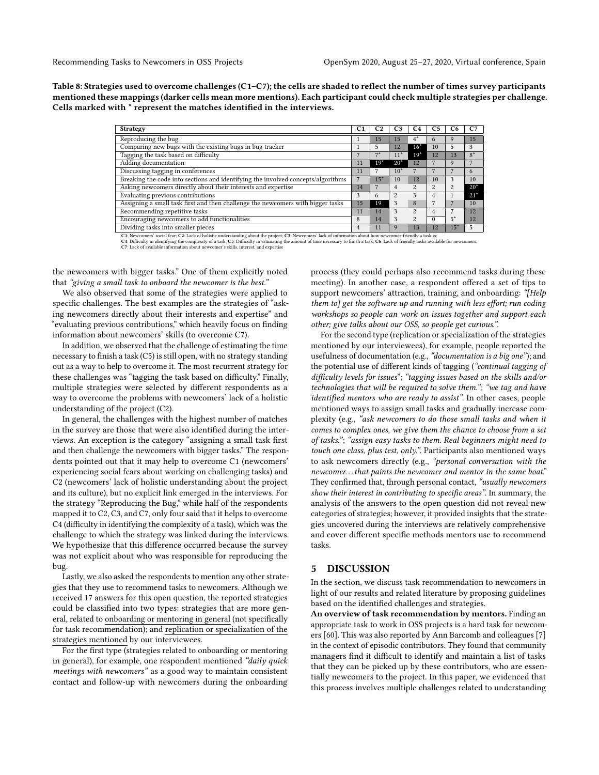<span id="page-8-0"></span>Table 8: Strategies used to overcome challenges (C1–C7); the cells are shaded to reflect the number of times survey participants mentioned these mappings (darker cells mean more mentions). Each participant could check multiple strategies per challenge. Cells marked with \* represent the matches identified in the interviews.

| <b>Strategy</b>                                                                                                                                             | C <sub>1</sub> | C <sub>2</sub> | C <sub>3</sub> | C <sub>4</sub> | C5             |                | C7    |
|-------------------------------------------------------------------------------------------------------------------------------------------------------------|----------------|----------------|----------------|----------------|----------------|----------------|-------|
| Reproducing the bug                                                                                                                                         |                | 15             | 15             | $4^*$          | o              |                | 15    |
| Comparing new bugs with the existing bugs in bug tracker                                                                                                    |                | 5              | 12             | $16*$          | 10             | 5              | 3     |
| Tagging the task based on difficulty                                                                                                                        |                | $7*$           | $11*$          | $19*$          | 12             | 13             | $8*$  |
| Adding documentation                                                                                                                                        | 11             | $19*$          | $20*$          | 12             |                | 9              |       |
| Discussing tagging in conferences                                                                                                                           | 11             |                | $10*$          |                |                |                | 6     |
| Breaking the code into sections and identifying the involved concepts/algorithms                                                                            |                | $15*$          | 10             | 12             | 10             | 3              | 10    |
| Asking newcomers directly about their interests and expertise                                                                                               | 14             |                | 4              | $\overline{2}$ | $\overline{c}$ | $\overline{c}$ | $20*$ |
| Evaluating previous contributions                                                                                                                           | 3              | 6              | $\overline{c}$ | 3              | 4              |                | $21*$ |
| Assigning a small task first and then challenge the newcomers with bigger tasks                                                                             | 15             | 19             | 3              | 8              |                |                | 10    |
| Recommending repetitive tasks                                                                                                                               | 11             | 14             | 3              | $\overline{c}$ | 4              |                | 12    |
| Encouraging newcomers to add functionalities                                                                                                                | 8              | 14             | 3              | $\overline{2}$ | 0              | $5*$           | 12    |
| Dividing tasks into smaller pieces                                                                                                                          |                | 11             |                | 13             | 12             | $15*$          | .5    |
| C1: Newcomers' social fear; C2: Lack of holistic understanding about the project; C3: Newcomers' lack of information about how newcomer-friendly a task is; |                |                |                |                |                |                |       |

C4: Difficulty in identifying the complexity of a task; C5: Difficulty in estimating the amount of time necessary to finish a task; C6: Lack of friendly tasks available for newcomers;<br>C7: Lack of available information abou

the newcomers with bigger tasks." One of them explicitly noted that "giving a small task to onboard the newcomer is the best."

We also observed that some of the strategies were applied to specific challenges. The best examples are the strategies of "asking newcomers directly about their interests and expertise" and "evaluating previous contributions," which heavily focus on finding information about newcomers' skills (to overcome C7).

In addition, we observed that the challenge of estimating the time necessary to finish a task (C5) is still open, with no strategy standing out as a way to help to overcome it. The most recurrent strategy for these challenges was "tagging the task based on difficulty." Finally, multiple strategies were selected by different respondents as a way to overcome the problems with newcomers' lack of a holistic understanding of the project (C2).

In general, the challenges with the highest number of matches in the survey are those that were also identified during the interviews. An exception is the category "assigning a small task first and then challenge the newcomers with bigger tasks." The respondents pointed out that it may help to overcome C1 (newcomers' experiencing social fears about working on challenging tasks) and C2 (newcomers' lack of holistic understanding about the project and its culture), but no explicit link emerged in the interviews. For the strategy "Reproducing the Bug," while half of the respondents mapped it to C2, C3, and C7, only four said that it helps to overcome C4 (difficulty in identifying the complexity of a task), which was the challenge to which the strategy was linked during the interviews. We hypothesize that this difference occurred because the survey was not explicit about who was responsible for reproducing the bug.

Lastly, we also asked the respondents to mention any other strategies that they use to recommend tasks to newcomers. Although we received 17 answers for this open question, the reported strategies could be classified into two types: strategies that are more general, related to onboarding or mentoring in general (not specifically for task recommendation); and replication or specialization of the strategies mentioned by our interviewees.

For the first type (strategies related to onboarding or mentoring in general), for example, one respondent mentioned "daily quick meetings with newcomers" as a good way to maintain consistent contact and follow-up with newcomers during the onboarding

process (they could perhaps also recommend tasks during these meeting). In another case, a respondent offered a set of tips to support newcomers' attraction, training, and onboarding: "[Help them to] get the software up and running with less effort; run coding workshops so people can work on issues together and support each other; give talks about our OSS, so people get curious.".

For the second type (replication or specialization of the strategies mentioned by our interviewees), for example, people reported the usefulness of documentation (e.g., "documentation is a big one"); and the potential use of different kinds of tagging ("continual tagging of difficulty levels for issues"; "tagging issues based on the skills and/or technologies that will be required to solve them."; "we tag and have identified mentors who are ready to assist". In other cases, people mentioned ways to assign small tasks and gradually increase complexity (e.g., "ask newcomers to do those small tasks and when it comes to complex ones, we give them the chance to choose from a set of tasks."; "assign easy tasks to them. Real beginners might need to touch one class, plus test, only.". Participants also mentioned ways to ask newcomers directly (e.g., "personal conversation with the newcomer. . . that paints the newcomer and mentor in the same boat." They confirmed that, through personal contact, "usually newcomers show their interest in contributing to specific areas". In summary, the analysis of the answers to the open question did not reveal new categories of strategies; however, it provided insights that the strategies uncovered during the interviews are relatively comprehensive and cover different specific methods mentors use to recommend tasks.

#### 5 DISCUSSION

In the section, we discuss task recommendation to newcomers in light of our results and related literature by proposing guidelines based on the identified challenges and strategies.

An overview of task recommendation by mentors. Finding an appropriate task to work in OSS projects is a hard task for newcomers [\[60\]](#page-13-3). This was also reported by Ann Barcomb and colleagues [\[7\]](#page-12-30) in the context of episodic contributors. They found that community managers find it difficult to identify and maintain a list of tasks that they can be picked up by these contributors, who are essentially newcomers to the project. In this paper, we evidenced that this process involves multiple challenges related to understanding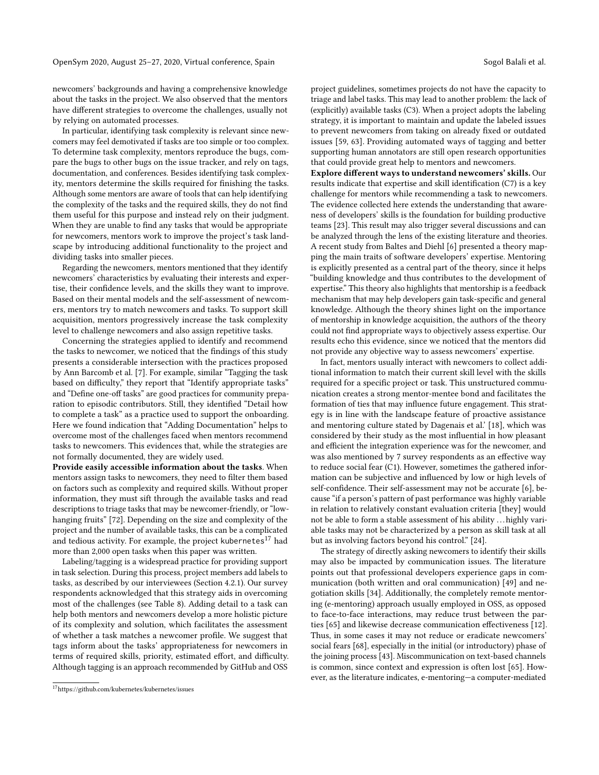newcomers' backgrounds and having a comprehensive knowledge about the tasks in the project. We also observed that the mentors have different strategies to overcome the challenges, usually not by relying on automated processes.

In particular, identifying task complexity is relevant since newcomers may feel demotivated if tasks are too simple or too complex. To determine task complexity, mentors reproduce the bugs, compare the bugs to other bugs on the issue tracker, and rely on tags, documentation, and conferences. Besides identifying task complexity, mentors determine the skills required for finishing the tasks. Although some mentors are aware of tools that can help identifying the complexity of the tasks and the required skills, they do not find them useful for this purpose and instead rely on their judgment. When they are unable to find any tasks that would be appropriate for newcomers, mentors work to improve the project's task landscape by introducing additional functionality to the project and dividing tasks into smaller pieces.

Regarding the newcomers, mentors mentioned that they identify newcomers' characteristics by evaluating their interests and expertise, their confidence levels, and the skills they want to improve. Based on their mental models and the self-assessment of newcomers, mentors try to match newcomers and tasks. To support skill acquisition, mentors progressively increase the task complexity level to challenge newcomers and also assign repetitive tasks.

Concerning the strategies applied to identify and recommend the tasks to newcomer, we noticed that the findings of this study presents a considerable intersection with the practices proposed by Ann Barcomb et al. [\[7\]](#page-12-30). For example, similar "Tagging the task based on difficulty," they report that "Identify appropriate tasks" and "Define one-off tasks" are good practices for community preparation to episodic contributors. Still, they identified "Detail how to complete a task" as a practice used to support the onboarding. Here we found indication that "Adding Documentation" helps to overcome most of the challenges faced when mentors recommend tasks to newcomers. This evidences that, while the strategies are not formally documented, they are widely used.

Provide easily accessible information about the tasks. When mentors assign tasks to newcomers, they need to filter them based on factors such as complexity and required skills. Without proper information, they must sift through the available tasks and read descriptions to triage tasks that may be newcomer-friendly, or "lowhanging fruits" [\[72\]](#page-13-17). Depending on the size and complexity of the project and the number of available tasks, this can be a complicated and tedious activity. For example, the project kubernetes<sup>[17](#page-9-0)</sup> had more than 2,000 open tasks when this paper was written.

Labeling/tagging is a widespread practice for providing support in task selection. During this process, project members add labels to tasks, as described by our interviewees (Section [4.2.1\)](#page-4-2). Our survey respondents acknowledged that this strategy aids in overcoming most of the challenges (see Table [8\)](#page-8-0). Adding detail to a task can help both mentors and newcomers develop a more holistic picture of its complexity and solution, which facilitates the assessment of whether a task matches a newcomer profile. We suggest that tags inform about the tasks' appropriateness for newcomers in terms of required skills, priority, estimated effort, and difficulty. Although tagging is an approach recommended by GitHub and OSS

project guidelines, sometimes projects do not have the capacity to triage and label tasks. This may lead to another problem: the lack of (explicitly) available tasks (C3). When a project adopts the labeling strategy, it is important to maintain and update the labeled issues to prevent newcomers from taking on already fixed or outdated issues [\[59,](#page-13-18) [63\]](#page-13-2). Providing automated ways of tagging and better supporting human annotators are still open research opportunities that could provide great help to mentors and newcomers.

Explore different ways to understand newcomers' skills. Our results indicate that expertise and skill identification (C7) is a key challenge for mentors while recommending a task to newcomers. The evidence collected here extends the understanding that awareness of developers' skills is the foundation for building productive teams [\[23\]](#page-12-31). This result may also trigger several discussions and can be analyzed through the lens of the existing literature and theories. A recent study from Baltes and Diehl [\[6\]](#page-12-19) presented a theory mapping the main traits of software developers' expertise. Mentoring is explicitly presented as a central part of the theory, since it helps "building knowledge and thus contributes to the development of expertise." This theory also highlights that mentorship is a feedback mechanism that may help developers gain task-specific and general knowledge. Although the theory shines light on the importance of mentorship in knowledge acquisition, the authors of the theory could not find appropriate ways to objectively assess expertise. Our results echo this evidence, since we noticed that the mentors did not provide any objective way to assess newcomers' expertise.

In fact, mentors usually interact with newcomers to collect additional information to match their current skill level with the skills required for a specific project or task. This unstructured communication creates a strong mentor-mentee bond and facilitates the formation of ties that may influence future engagement. This strategy is in line with the landscape feature of proactive assistance and mentoring culture stated by Dagenais et al.' [\[18\]](#page-12-20), which was considered by their study as the most influential in how pleasant and efficient the integration experience was for the newcomer, and was also mentioned by 7 survey respondents as an effective way to reduce social fear (C1). However, sometimes the gathered information can be subjective and influenced by low or high levels of self-confidence. Their self-assessment may not be accurate [\[6\]](#page-12-19), because "if a person's pattern of past performance was highly variable in relation to relatively constant evaluation criteria [they] would not be able to form a stable assessment of his ability . . . highly variable tasks may not be characterized by a person as skill task at all but as involving factors beyond his control." [\[24\]](#page-12-29).

The strategy of directly asking newcomers to identify their skills may also be impacted by communication issues. The literature points out that professional developers experience gaps in communication (both written and oral communication) [\[49\]](#page-13-19) and negotiation skills [\[34\]](#page-12-32). Additionally, the completely remote mentoring (e-mentoring) approach usually employed in OSS, as opposed to face-to-face interactions, may reduce trust between the parties [\[65\]](#page-13-20) and likewise decrease communication effectiveness [\[12\]](#page-12-33). Thus, in some cases it may not reduce or eradicate newcomers' social fears [\[68\]](#page-13-21), especially in the initial (or introductory) phase of the joining process [\[43\]](#page-12-34). Miscommunication on text-based channels is common, since context and expression is often lost [\[65\]](#page-13-20). However, as the literature indicates, e-mentoring—a computer-mediated

<span id="page-9-0"></span> $^{17}{\rm https://github.com/kubernetes/kubernetes/issues}$  $^{17}{\rm https://github.com/kubernetes/kubernetes/issues}$  $^{17}{\rm https://github.com/kubernetes/kubernetes/issues}$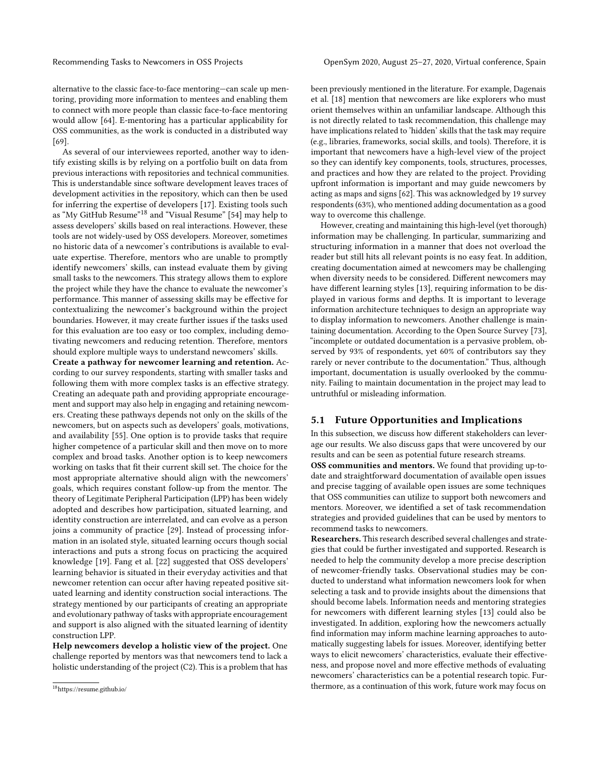alternative to the classic face-to-face mentoring—can scale up mentoring, providing more information to mentees and enabling them to connect with more people than classic face-to-face mentoring would allow [\[64\]](#page-13-22). E-mentoring has a particular applicability for OSS communities, as the work is conducted in a distributed way [\[69\]](#page-13-23).

As several of our interviewees reported, another way to identify existing skills is by relying on a portfolio built on data from previous interactions with repositories and technical communities. This is understandable since software development leaves traces of development activities in the repository, which can then be used for inferring the expertise of developers [\[17\]](#page-12-35). Existing tools such as "My GitHub Resume"[18](#page-10-0) and "Visual Resume" [\[54\]](#page-13-24) may help to assess developers' skills based on real interactions. However, these tools are not widely-used by OSS developers. Moreover, sometimes no historic data of a newcomer's contributions is available to evaluate expertise. Therefore, mentors who are unable to promptly identify newcomers' skills, can instead evaluate them by giving small tasks to the newcomers. This strategy allows them to explore the project while they have the chance to evaluate the newcomer's performance. This manner of assessing skills may be effective for contextualizing the newcomer's background within the project boundaries. However, it may create further issues if the tasks used for this evaluation are too easy or too complex, including demotivating newcomers and reducing retention. Therefore, mentors should explore multiple ways to understand newcomers' skills.

Create a pathway for newcomer learning and retention. According to our survey respondents, starting with smaller tasks and following them with more complex tasks is an effective strategy. Creating an adequate path and providing appropriate encouragement and support may also help in engaging and retaining newcomers. Creating these pathways depends not only on the skills of the newcomers, but on aspects such as developers' goals, motivations, and availability [\[55\]](#page-13-25). One option is to provide tasks that require higher competence of a particular skill and then move on to more complex and broad tasks. Another option is to keep newcomers working on tasks that fit their current skill set. The choice for the most appropriate alternative should align with the newcomers' goals, which requires constant follow-up from the mentor. The theory of Legitimate Peripheral Participation (LPP) has been widely adopted and describes how participation, situated learning, and identity construction are interrelated, and can evolve as a person joins a community of practice [\[29\]](#page-12-36). Instead of processing information in an isolated style, situated learning occurs though social interactions and puts a strong focus on practicing the acquired knowledge [\[19\]](#page-12-37). Fang et al. [\[22\]](#page-12-38) suggested that OSS developers' learning behavior is situated in their everyday activities and that newcomer retention can occur after having repeated positive situated learning and identity construction social interactions. The strategy mentioned by our participants of creating an appropriate and evolutionary pathway of tasks with appropriate encouragement and support is also aligned with the situated learning of identity construction LPP.

Help newcomers develop a holistic view of the project. One challenge reported by mentors was that newcomers tend to lack a holistic understanding of the project (C2). This is a problem that has been previously mentioned in the literature. For example, Dagenais et al. [\[18\]](#page-12-20) mention that newcomers are like explorers who must orient themselves within an unfamiliar landscape. Although this is not directly related to task recommendation, this challenge may have implications related to 'hidden' skills that the task may require (e.g., libraries, frameworks, social skills, and tools). Therefore, it is important that newcomers have a high-level view of the project so they can identify key components, tools, structures, processes, and practices and how they are related to the project. Providing upfront information is important and may guide newcomers by acting as maps and signs [\[62\]](#page-13-26). This was acknowledged by 19 survey respondents (63%), who mentioned adding documentation as a good way to overcome this challenge.

However, creating and maintaining this high-level (yet thorough) information may be challenging. In particular, summarizing and structuring information in a manner that does not overload the reader but still hits all relevant points is no easy feat. In addition, creating documentation aimed at newcomers may be challenging when diversity needs to be considered. Different newcomers may have different learning styles [\[13\]](#page-12-39), requiring information to be displayed in various forms and depths. It is important to leverage information architecture techniques to design an appropriate way to display information to newcomers. Another challenge is maintaining documentation. According to the Open Source Survey [\[73\]](#page-13-27), "incomplete or outdated documentation is a pervasive problem, observed by 93% of respondents, yet 60% of contributors say they rarely or never contribute to the documentation." Thus, although important, documentation is usually overlooked by the community. Failing to maintain documentation in the project may lead to untruthful or misleading information.

#### 5.1 Future Opportunities and Implications

In this subsection, we discuss how different stakeholders can leverage our results. We also discuss gaps that were uncovered by our results and can be seen as potential future research streams.

OSS communities and mentors. We found that providing up-todate and straightforward documentation of available open issues and precise tagging of available open issues are some techniques that OSS communities can utilize to support both newcomers and mentors. Moreover, we identified a set of task recommendation strategies and provided guidelines that can be used by mentors to recommend tasks to newcomers.

Researchers. This research described several challenges and strategies that could be further investigated and supported. Research is needed to help the community develop a more precise description of newcomer-friendly tasks. Observational studies may be conducted to understand what information newcomers look for when selecting a task and to provide insights about the dimensions that should become labels. Information needs and mentoring strategies for newcomers with different learning styles [\[13\]](#page-12-39) could also be investigated. In addition, exploring how the newcomers actually find information may inform machine learning approaches to automatically suggesting labels for issues. Moreover, identifying better ways to elicit newcomers' characteristics, evaluate their effectiveness, and propose novel and more effective methods of evaluating newcomers' characteristics can be a potential research topic. Furthermore, as a continuation of this work, future work may focus on

<span id="page-10-0"></span> $^{18}{\rm https://resume.github.io/}$  $^{18}{\rm https://resume.github.io/}$  $^{18}{\rm https://resume.github.io/}$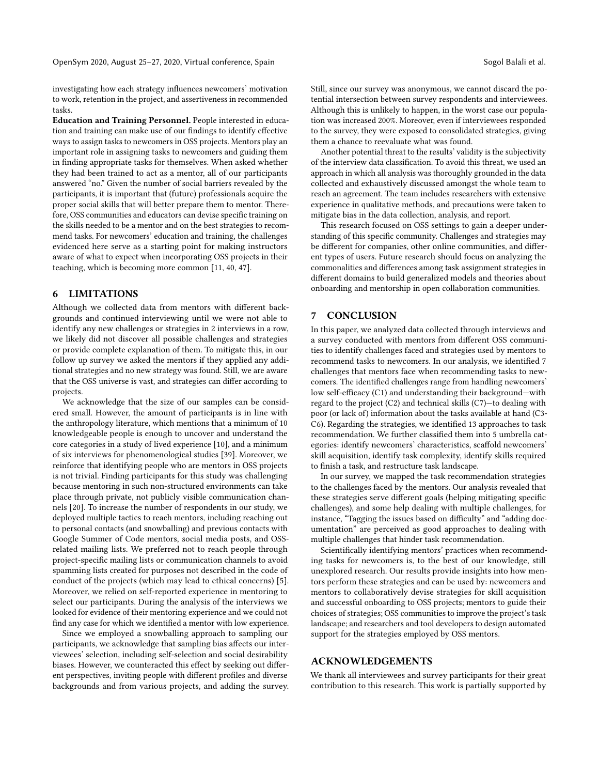investigating how each strategy influences newcomers' motivation to work, retention in the project, and assertiveness in recommended tasks.

Education and Training Personnel. People interested in education and training can make use of our findings to identify effective ways to assign tasks to newcomers in OSS projects. Mentors play an important role in assigning tasks to newcomers and guiding them in finding appropriate tasks for themselves. When asked whether they had been trained to act as a mentor, all of our participants answered "no." Given the number of social barriers revealed by the participants, it is important that (future) professionals acquire the proper social skills that will better prepare them to mentor. Therefore, OSS communities and educators can devise specific training on the skills needed to be a mentor and on the best strategies to recommend tasks. For newcomers' education and training, the challenges evidenced here serve as a starting point for making instructors aware of what to expect when incorporating OSS projects in their teaching, which is becoming more common [\[11,](#page-12-40) [40,](#page-12-41) [47\]](#page-13-28).

#### 6 LIMITATIONS

Although we collected data from mentors with different backgrounds and continued interviewing until we were not able to identify any new challenges or strategies in 2 interviews in a row, we likely did not discover all possible challenges and strategies or provide complete explanation of them. To mitigate this, in our follow up survey we asked the mentors if they applied any additional strategies and no new strategy was found. Still, we are aware that the OSS universe is vast, and strategies can differ according to projects.

We acknowledge that the size of our samples can be considered small. However, the amount of participants is in line with the anthropology literature, which mentions that a minimum of 10 knowledgeable people is enough to uncover and understand the core categories in a study of lived experience [\[10\]](#page-12-42), and a minimum of six interviews for phenomenological studies [\[39\]](#page-12-43). Moreover, we reinforce that identifying people who are mentors in OSS projects is not trivial. Finding participants for this study was challenging because mentoring in such non-structured environments can take place through private, not publicly visible communication channels [\[20\]](#page-12-5). To increase the number of respondents in our study, we deployed multiple tactics to reach mentors, including reaching out to personal contacts (and snowballing) and previous contacts with Google Summer of Code mentors, social media posts, and OSSrelated mailing lists. We preferred not to reach people through project-specific mailing lists or communication channels to avoid spamming lists created for purposes not described in the code of conduct of the projects (which may lead to ethical concerns) [\[5\]](#page-12-44). Moreover, we relied on self-reported experience in mentoring to select our participants. During the analysis of the interviews we looked for evidence of their mentoring experience and we could not find any case for which we identified a mentor with low experience.

Since we employed a snowballing approach to sampling our participants, we acknowledge that sampling bias affects our interviewees' selection, including self-selection and social desirability biases. However, we counteracted this effect by seeking out different perspectives, inviting people with different profiles and diverse backgrounds and from various projects, and adding the survey. Still, since our survey was anonymous, we cannot discard the potential intersection between survey respondents and interviewees. Although this is unlikely to happen, in the worst case our population was increased 200%. Moreover, even if interviewees responded to the survey, they were exposed to consolidated strategies, giving them a chance to reevaluate what was found.

Another potential threat to the results' validity is the subjectivity of the interview data classification. To avoid this threat, we used an approach in which all analysis was thoroughly grounded in the data collected and exhaustively discussed amongst the whole team to reach an agreement. The team includes researchers with extensive experience in qualitative methods, and precautions were taken to mitigate bias in the data collection, analysis, and report.

This research focused on OSS settings to gain a deeper understanding of this specific community. Challenges and strategies may be different for companies, other online communities, and different types of users. Future research should focus on analyzing the commonalities and differences among task assignment strategies in different domains to build generalized models and theories about onboarding and mentorship in open collaboration communities.

### 7 CONCLUSION

In this paper, we analyzed data collected through interviews and a survey conducted with mentors from different OSS communities to identify challenges faced and strategies used by mentors to recommend tasks to newcomers. In our analysis, we identified 7 challenges that mentors face when recommending tasks to newcomers. The identified challenges range from handling newcomers' low self-efficacy (C1) and understanding their background—with regard to the project (C2) and technical skills (C7)—to dealing with poor (or lack of) information about the tasks available at hand (C3- C6). Regarding the strategies, we identified 13 approaches to task recommendation. We further classified them into 5 umbrella categories: identify newcomers' characteristics, scaffold newcomers' skill acquisition, identify task complexity, identify skills required to finish a task, and restructure task landscape.

In our survey, we mapped the task recommendation strategies to the challenges faced by the mentors. Our analysis revealed that these strategies serve different goals (helping mitigating specific challenges), and some help dealing with multiple challenges, for instance, "Tagging the issues based on difficulty" and "adding documentation" are perceived as good approaches to dealing with multiple challenges that hinder task recommendation.

Scientifically identifying mentors' practices when recommending tasks for newcomers is, to the best of our knowledge, still unexplored research. Our results provide insights into how mentors perform these strategies and can be used by: newcomers and mentors to collaboratively devise strategies for skill acquisition and successful onboarding to OSS projects; mentors to guide their choices of strategies; OSS communities to improve the project's task landscape; and researchers and tool developers to design automated support for the strategies employed by OSS mentors.

# ACKNOWLEDGEMENTS

We thank all interviewees and survey participants for their great contribution to this research. This work is partially supported by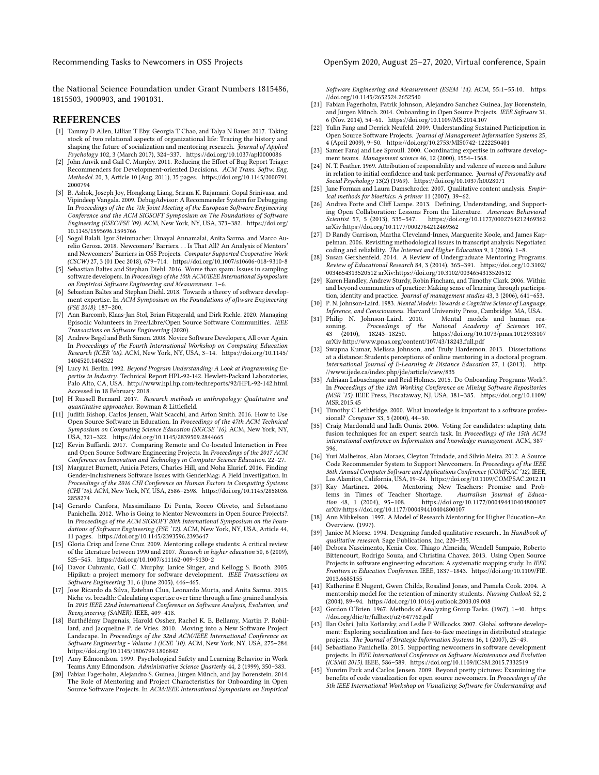Recommending Tasks to Newcomers in OSS Projects OpenSym 2020, August 25-27, 2020, Virtual conference, Spain

the National Science Foundation under Grant Numbers 1815486, 1815503, 1900903, and 1901031.

#### REFERENCES

- <span id="page-12-11"></span>[1] Tammy D Allen, Lillian T Eby, Georgia T Chao, and Talya N Bauer. 2017. Taking stock of two relational aspects of organizational life: Tracing the history and shaping the future of socialization and mentoring research. Journal of Applied Psychology 102, 3 (March 2017), 324-337.<https://doi.org/10.1037/apl0000086>
- <span id="page-12-1"></span>[2] John Anvik and Gail C. Murphy. 2011. Reducing the Effort of Bug Report Triage: Recommenders for Development-oriented Decisions. ACM Trans. Softw. Eng. Methodol. 20, 3, Article 10 (Aug. 2011), 35 pages. [https://doi.org/10.1145/2000791.](https://doi.org/10.1145/2000791.2000794) [2000794](https://doi.org/10.1145/2000791.2000794)
- <span id="page-12-10"></span>[3] B. Ashok, Joseph Joy, Hongkang Liang, Sriram K. Rajamani, Gopal Srinivasa, and Vipindeep Vangala. 2009. DebugAdvisor: A Recommender System for Debugging. In Proceedings of the the 7th Joint Meeting of the European Software Engineering Conference and the ACM SIGSOFT Symposium on The Foundations of Software Engineering (ESEC/FSE '09). ACM, New York, NY, USA, 373–382. [https://doi.org/](https://doi.org/10.1145/1595696.1595766) [10.1145/1595696.1595766](https://doi.org/10.1145/1595696.1595766)
- <span id="page-12-7"></span>[4] Sogol Balali, Igor Steinmacher, Umayal Annamalai, Anita Sarma, and Marco Aurelio Gerosa. 2018. Newcomers' Barriers. . . Is That All? An Analysis of Mentors' and Newcomers' Barriers in OSS Projects. Computer Supported Cooperative Work (CSCW) 27, 3 (01 Dec 2018), 679–714.<https://doi.org/10.1007/s10606-018-9310-8>
- <span id="page-12-44"></span>[5] Sebastian Baltes and Stephan Diehl. 2016. Worse than spam: Issues in sampling software developers. In Proceedings of the 10th ACM/IEEE International Symposium on Empirical Software Engineering and Measurement. 1–6.
- <span id="page-12-19"></span>[6] Sebastian Baltes and Stephan Diehl. 2018. Towards a theory of software development expertise. In ACM Symposium on the Foundations of oftware Engineering (FSE 2018). 187–200.
- <span id="page-12-30"></span>Ann Barcomb, Klaas-Jan Stol, Brian Fitzgerald, and Dirk Riehle. 2020. Managing Episodic Volunteers in Free/Libre/Open Source Software Communities. IEEE Transactions on Software Engineering (2020).
- <span id="page-12-4"></span>[8] Andrew Begel and Beth Simon. 2008. Novice Software Developers, All over Again. In Proceedings of the Fourth International Workshop on Computing Education Research (ICER '08). ACM, New York, NY, USA, 3-14. [https://doi.org/10.1145/](https://doi.org/10.1145/1404520.1404522) [1404520.1404522](https://doi.org/10.1145/1404520.1404522)
- <span id="page-12-18"></span>[9] Lucy M. Berlin. 1992. Beyond Program Understanding: A Look at Programming Expertise in Industry. Technical Report HPL-92-142. Hewlett-Packard Laboratories, Palo Alto, CA, USA. http://www.hpl.hp.com/techreports/92/HPL-92-142.html. Accessed in 18 February 2018.
- <span id="page-12-42"></span>[10] H Russell Bernard. 2017. Research methods in anthropology: Qualitative and quantitative approaches. Rowman & Littlefield.
- <span id="page-12-40"></span>[11] Judith Bishop, Carlos Jensen, Walt Scacchi, and Arfon Smith. 2016. How to Use Open Source Software in Education. In Proceedings of the 47th ACM Technical Symposium on Computing Science Education (SIGCSE<sup>5</sup>16). ACM, New York, NY, USA, 321–322.<https://doi.org/10.1145/2839509.2844665>
- <span id="page-12-33"></span>[12] Kevin Buffardi. 2017. Comparing Remote and Co-located Interaction in Free and Open Source Software Engineering Projects. In Proceedings of the 2017 ACM Conference on Innovation and Technology in Computer Science Education. 22–27.
- <span id="page-12-39"></span>[13] Margaret Burnett, Anicia Peters, Charles Hill, and Noha Elarief. 2016. Finding Gender-Inclusiveness Software Issues with GenderMag: A Field Investigation. In Proceedings of the 2016 CHI Conference on Human Factors in Computing Systems (CHI '16). ACM, New York, NY, USA, 2586–2598. [https://doi.org/10.1145/2858036.](https://doi.org/10.1145/2858036.2858274) [2858274](https://doi.org/10.1145/2858036.2858274)
- <span id="page-12-23"></span>[14] Gerardo Canfora, Massimiliano Di Penta, Rocco Oliveto, and Sebastiano Panichella. 2012. Who is Going to Mentor Newcomers in Open Source Projects?. In Proceedings of the ACM SIGSOFT 20th International Symposium on the Foundations of Software Engineering (FSE '12). ACM, New York, NY, USA, Article 44, 11 pages.<https://doi.org/10.1145/2393596.2393647>
- <span id="page-12-13"></span>[15] Gloria Crisp and Irene Cruz. 2009. Mentoring college students: A critical review of the literature between 1990 and 2007. Research in higher education 50, 6 (2009), 525–545.<https://doi.org/10.1007/s11162-009-9130-2>
- <span id="page-12-2"></span>[16] Davor Cubranic, Gail C. Murphy, Janice Singer, and Kellogg S. Booth. 2005. Hipikat: a project memory for software development. IEEE Transactions on Software Engineering 31, 6 (June 2005), 446–465.
- <span id="page-12-35"></span>[17] Jose Ricardo da Silva, Esteban Clua, Leonardo Murta, and Anita Sarma. 2015. Niche vs. breadth: Calculating expertise over time through a fine-grained analysis. In 2015 IEEE 22nd International Conference on Software Analysis, Evolution, and Reengineering (SANER). IEEE, 409–418.
- <span id="page-12-20"></span>[18] Barthélémy Dagenais, Harold Ossher, Rachel K. E. Bellamy, Martin P. Robillard, and Jacqueline P. de Vries. 2010. Moving into a New Software Project Landscape. In Proceedings of the 32nd ACM/IEEE International Conference on Software Engineering - Volume 1 (ICSE '10). ACM, New York, NY, USA, 275–284. <https://doi.org/10.1145/1806799.1806842>
- <span id="page-12-37"></span>[19] Amy Edmondson. 1999. Psychological Safety and Learning Behavior in Work Teams Amy Edmondson. Administrative Science Quarterly 44, 2 (1999), 350–383.
- <span id="page-12-5"></span>[20] Fabian Fagerholm, Alejandro S. Guinea, Jürgen Münch, and Jay Borenstein. 2014. The Role of Mentoring and Project Characteristics for Onboarding in Open Source Software Projects. In ACM/IEEE International Symposium on Empirical

Software Engineering and Measurement (ESEM '14). ACM, 55:1–55:10. [https:](https://doi.org/10.1145/2652524.2652540) [//doi.org/10.1145/2652524.2652540](https://doi.org/10.1145/2652524.2652540)

- <span id="page-12-6"></span>[21] Fabian Fagerholm, Patrik Johnson, Alejandro Sanchez Guinea, Jay Borenstein, and Jürgen Münch. 2014. Onboarding in Open Source Projects. IEEE Software 31, 6 (Nov. 2014), 54–61.<https://doi.org/10.1109/MS.2014.107>
- <span id="page-12-38"></span>[22] Yulin Fang and Derrick Neufeld. 2009. Understanding Sustained Participation in Open Source Software Projects. Journal of Management Information Systems 25, 4 (April 2009), 9–50.<https://doi.org/10.2753/MIS0742-1222250401>
- <span id="page-12-31"></span>[23] Samer Faraj and Lee Sproull. 2000. Coordinating expertise in software development teams. Management science 46, 12 (2000), 1554–1568.
- <span id="page-12-29"></span>[24] N. T. Feather. 1969. Attribution of responsibility and valence of success and failure in relation to initial confidence and task performance. Journal of Personality and Social Psychology 13(2) (1969).<https://doi.org/10.1037/h0028071>
- <span id="page-12-26"></span>[25] Jane Forman and Laura Damschroder. 2007. Qualitative content analysis. Empirical methods for bioethics: A primer 11 (2007), 39–62.
- <span id="page-12-0"></span>[26] Andrea Forte and Cliff Lampe. 2013. Defining, Understanding, and Supporting Open Collaboration: Lessons From the Literature. American Behavioral<br>Scientist 57, 5 (2013), 535-547. https://doi.org/10.1177/0002764212469362 https://doi.org/10.1177/0002764212469362 arXiv[:https://doi.org/10.1177/0002764212469362](http://arxiv.org/abs/https://doi.org/10.1177/0002764212469362)
- <span id="page-12-25"></span>[27] D Randy Garrison, Martha Cleveland-Innes, Marguerite Koole, and James Kappelman. 2006. Revisiting methodological issues in transcript analysis: Negotiated coding and reliability. The Internet and Higher Education 9, 1 (2006), 1–8.
- <span id="page-12-14"></span>[28] Susan Gershenfeld. 2014. A Review of Undergraduate Mentoring Programs. Review of Educational Research 84, 3 (2014), 365–391. [https://doi.org/10.3102/](https://doi.org/10.3102/0034654313520512) [0034654313520512](https://doi.org/10.3102/0034654313520512) arXiv[:https://doi.org/10.3102/0034654313520512](http://arxiv.org/abs/https://doi.org/10.3102/0034654313520512)
- <span id="page-12-36"></span>[29] Karen Handley, Andrew Sturdy, Robin Fincham, and Timothy Clark. 2006. Within and beyond communities of practice: Making sense of learning through participation, identity and practice. Journal of management studies 43, 3 (2006), 641–653. [30] P. N. Johnson-Laird. 1983. Mental Models: Towards a Cognitive Science of Language,
- <span id="page-12-27"></span>Inference, and Consciousness. Harvard University Press, Cambridge, MA, USA.
- <span id="page-12-28"></span> $[31] \centering \begin{tabular}{l} \hbox{Philip} \label{tab:1} \end{tabular} \vspace{0.5cm} \begin{tabular}{l} N. \end{tabular} \end{tabular} \vspace{0.5cm} \begin{tabular}{l} \hbox{SVD} \end{tabular} \hline \begin{tabular}{l} \hbox{SVD} \end{tabular} \hline \begin{tabular}{l} \hbox{SVD} \end{tabular} \hline \begin{tabular}{l} \hbox{SVD} \end{tabular} \hline \begin{tabular}{l} \hbox{SVD} \end{tabular} \hline \begin{tabular}{l} \hbox{SVD} \end{tabular} \hline$ soning. Proceedings of the National Academy of Sciences 107,<br>43 (2010), 18243–18250. https://doi.org/10.1073/pnas.1012933107 43 (2010), 18243–18250.<https://doi.org/10.1073/pnas.1012933107> arXiv[:http://www.pnas.org/content/107/43/18243.full.pdf](http://arxiv.org/abs/http://www.pnas.org/content/107/43/18243.full.pdf)
- <span id="page-12-17"></span>[32] Swapna Kumar, Melissa Johnson, and Truly Hardemon, 2013. Dissertations at a distance: Students perceptions of online mentoring in a doctoral program. International Journal of E-Learning & Distance Education 27, 1 (2013). [http:](http://www.ijede.ca/index.php/jde/article/view/835) [//www.ijede.ca/index.php/jde/article/view/835](http://www.ijede.ca/index.php/jde/article/view/835)
- <span id="page-12-24"></span>[33] Adriaan Labuschagne and Reid Holmes. 2015. Do Onboarding Programs Work?. In Proceedings of the 12th Working Conference on Mining Software Repositories (MSR '15). IEEE Press, Piscataway, NJ, USA, 381–385. [https://doi.org/10.1109/](https://doi.org/10.1109/MSR.2015.45) [MSR.2015.45](https://doi.org/10.1109/MSR.2015.45)
- <span id="page-12-32"></span>[34] Timothy C Lethbridge. 2000. What knowledge is important to a software professional? Computer 33, 5 (2000), 44–50.
- <span id="page-12-3"></span>[35] Craig Macdonald and Iadh Ounis. 2006. Voting for candidates: adapting data fusion techniques for an expert search task. In Proceedings of the 15th ACM international conference on Information and knowledge management. ACM, 387– 396.
- <span id="page-12-21"></span>[36] Yuri Malheiros, Alan Moraes, Cleyton Trindade, and Silvio Meira. 2012. A Source Code Recommender System to Support Newcomers. In Proceedings of the IEEE 36th Annual Computer Software and Applications Conference (COMPSAC '12). IEEE, Los Alamitos, California, USA, 19–24.<https://doi.org/10.1109/COMPSAC.2012.11>
- <span id="page-12-12"></span>[37] Kay Martinez. 2004. Mentoring New Teachers: Promise and Problems in Times of Teacher Shortage. Australian Journal of Educa-tion 48, 1 (2004), 95–108.<https://doi.org/10.1177/000494410404800107> arXiv[:https://doi.org/10.1177/000494410404800107](http://arxiv.org/abs/https://doi.org/10.1177/000494410404800107)
- <span id="page-12-8"></span>[38] Ann Mihkelson. 1997. A Model of Research Mentoring for Higher Education–An Overview. (1997).
- <span id="page-12-43"></span>[39] Janice M Morse. 1994. Designing funded qualitative research.. In Handbook of qualitative research. Sage Publications, Inc, 220–335.
- <span id="page-12-41"></span>[40] Debora Nascimento, Kenia Cox, Thiago Almeida, Wendell Sampaio, Roberto Bittencourt, Rodrigo Souza, and Christina Chavez. 2013. Using Open Source Projects in software engineering education: A systematic mapping study. In IEEE Frontiers in Education Conference. IEEE, 1837–1843. [https://doi.org/10.1109/FIE.](https://doi.org/10.1109/FIE.2013.6685155) [2013.6685155](https://doi.org/10.1109/FIE.2013.6685155)
- <span id="page-12-15"></span>[41] Katherine E Nugent, Gwen Childs, Rosalind Jones, and Pamela Cook. 2004. A mentorship model for the retention of minority students. Nursing Outlook 52, 2 (2004), 89–94.<https://doi.org/10.1016/j.outlook.2003.09.008>
- <span id="page-12-16"></span>[42] Gordon O'Brien. 1967. Methods of Analyzing Group Tasks. (1967), 1–40. [https:](https://doi.org/dtic/tr/fulltext/u2/647762.pdf) [//doi.org/dtic/tr/fulltext/u2/647762.pdf](https://doi.org/dtic/tr/fulltext/u2/647762.pdf)
- <span id="page-12-34"></span>[43] Ilan Oshri, Julia Kotlarsky, and Leslie P Willcocks. 2007. Global software development: Exploring socialization and face-to-face meetings in distributed strategic projects. The Journal of Strategic Information Systems 16, 1 (2007), 25–49.
- <span id="page-12-22"></span>[44] Sebastiano Panichella. 2015. Supporting newcomers in software development projects. In IEEE International Conference on Software Maintenance and Evolution (ICSME 2015). IEEE, 586–589.<https://doi.org/10.1109/ICSM.2015.7332519>
- <span id="page-12-9"></span>[45] Yunrim Park and Carlos Jensen. 2009. Beyond pretty pictures: Examining the benefits of code visualization for open source newcomers. In Proceedings of the 5th IEEE International Workshop on Visualizing Software for Understanding and